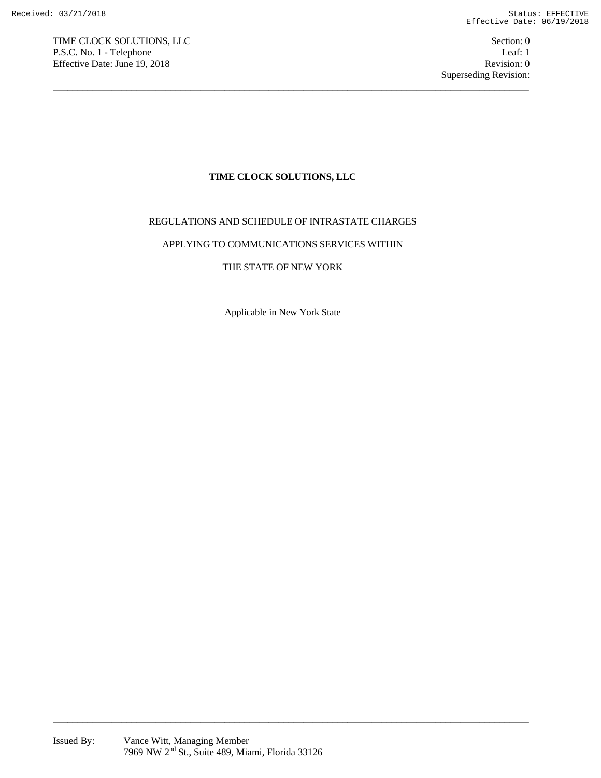TIME CLOCK SOLUTIONS, LLC Section: 0 P.S.C. No. 1 - Telephone Leaf: 1 Effective Date: June 19, 2018 Revision: 0

## **TIME CLOCK SOLUTIONS, LLC**

 $\overline{a_1}$  ,  $\overline{a_2}$  ,  $\overline{a_3}$  ,  $\overline{a_4}$  ,  $\overline{a_5}$  ,  $\overline{a_6}$  ,  $\overline{a_7}$  ,  $\overline{a_8}$  ,  $\overline{a_9}$  ,  $\overline{a_9}$  ,  $\overline{a_9}$  ,  $\overline{a_9}$  ,  $\overline{a_9}$  ,  $\overline{a_9}$  ,  $\overline{a_9}$  ,  $\overline{a_9}$  ,  $\overline{a_9}$  ,

## REGULATIONS AND SCHEDULE OF INTRASTATE CHARGES

## APPLYING TO COMMUNICATIONS SERVICES WITHIN

## THE STATE OF NEW YORK

Applicable in New York State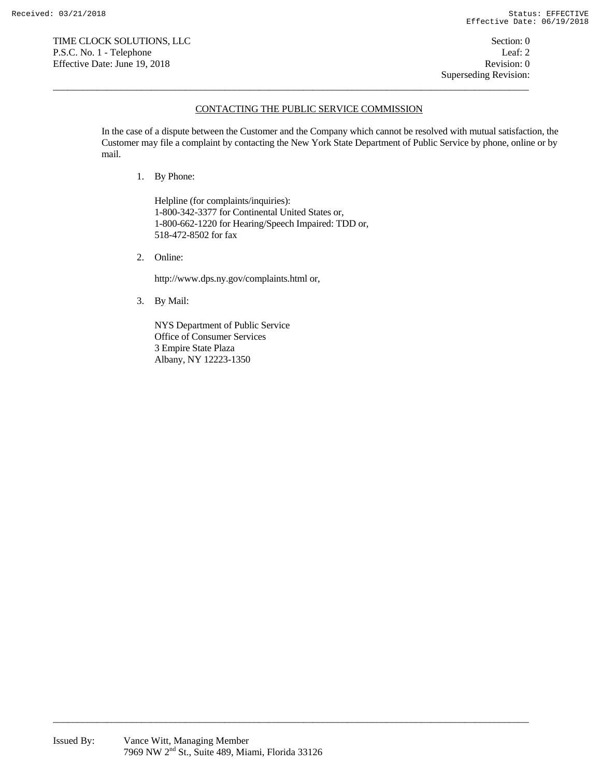### CONTACTING THE PUBLIC SERVICE COMMISSION

 $\overline{a_1}$  ,  $\overline{a_2}$  ,  $\overline{a_3}$  ,  $\overline{a_4}$  ,  $\overline{a_5}$  ,  $\overline{a_6}$  ,  $\overline{a_7}$  ,  $\overline{a_8}$  ,  $\overline{a_9}$  ,  $\overline{a_9}$  ,  $\overline{a_9}$  ,  $\overline{a_9}$  ,  $\overline{a_9}$  ,  $\overline{a_9}$  ,  $\overline{a_9}$  ,  $\overline{a_9}$  ,  $\overline{a_9}$  ,

In the case of a dispute between the Customer and the Company which cannot be resolved with mutual satisfaction, the Customer may file a complaint by contacting the New York State Department of Public Service by phone, online or by mail.

1. By Phone:

Helpline (for complaints/inquiries): 1-800-342-3377 for Continental United States or, 1-800-662-1220 for Hearing/Speech Impaired: TDD or, 518-472-8502 for fax

2. Online:

http://www.dps.ny.gov/complaints.html or,

3. By Mail:

NYS Department of Public Service Office of Consumer Services 3 Empire State Plaza Albany, NY 12223-1350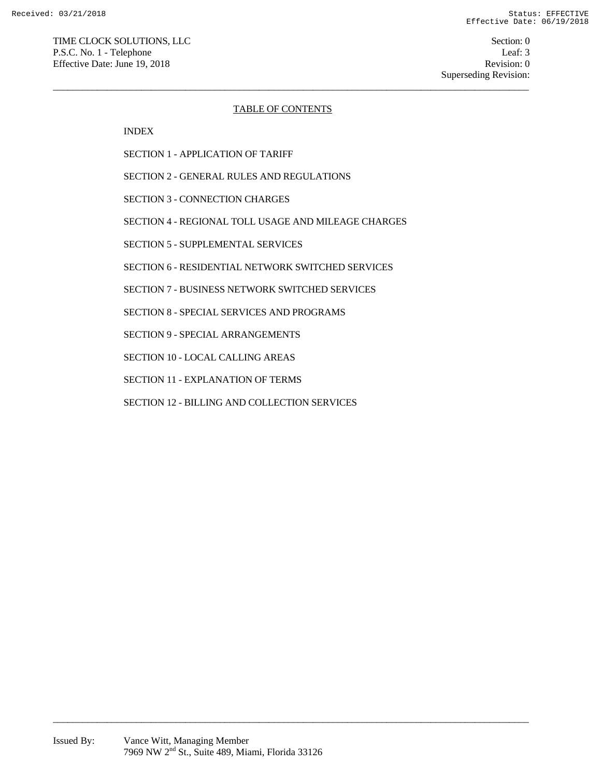Superseding Revision:

#### TABLE OF CONTENTS

 $\overline{a_1}$  ,  $\overline{a_2}$  ,  $\overline{a_3}$  ,  $\overline{a_4}$  ,  $\overline{a_5}$  ,  $\overline{a_6}$  ,  $\overline{a_7}$  ,  $\overline{a_8}$  ,  $\overline{a_9}$  ,  $\overline{a_9}$  ,  $\overline{a_9}$  ,  $\overline{a_9}$  ,  $\overline{a_9}$  ,  $\overline{a_9}$  ,  $\overline{a_9}$  ,  $\overline{a_9}$  ,  $\overline{a_9}$  ,

INDEX

SECTION 1 - APPLICATION OF TARIFF

SECTION 2 - GENERAL RULES AND REGULATIONS

SECTION 3 - CONNECTION CHARGES

SECTION 4 - REGIONAL TOLL USAGE AND MILEAGE CHARGES

SECTION 5 - SUPPLEMENTAL SERVICES

SECTION 6 - RESIDENTIAL NETWORK SWITCHED SERVICES

SECTION 7 - BUSINESS NETWORK SWITCHED SERVICES

SECTION 8 - SPECIAL SERVICES AND PROGRAMS

SECTION 9 - SPECIAL ARRANGEMENTS

SECTION 10 - LOCAL CALLING AREAS

SECTION 11 - EXPLANATION OF TERMS

SECTION 12 - BILLING AND COLLECTION SERVICES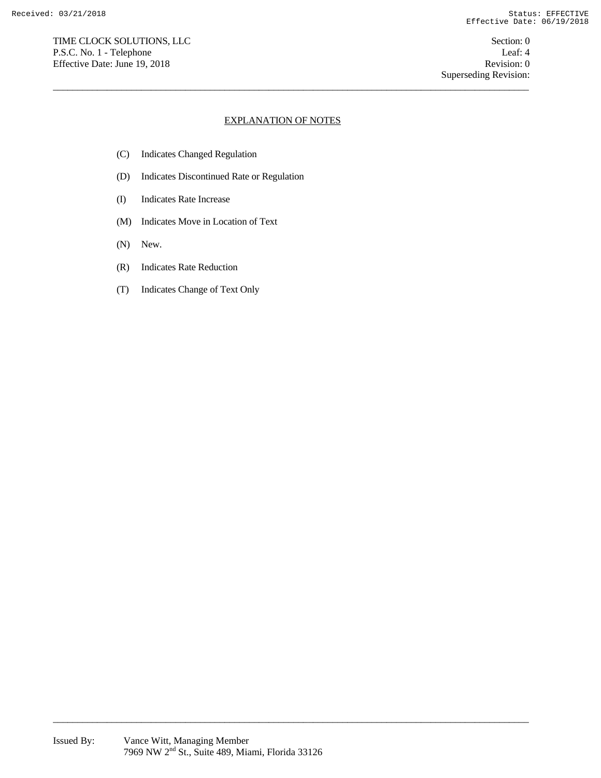TIME CLOCK SOLUTIONS, LLC Section: 0 P.S.C. No. 1 - Telephone Leaf: 4 Effective Date: June 19, 2018 Revision: 0

## EXPLANATION OF NOTES

 $\overline{a_1}$  ,  $\overline{a_2}$  ,  $\overline{a_3}$  ,  $\overline{a_4}$  ,  $\overline{a_5}$  ,  $\overline{a_6}$  ,  $\overline{a_7}$  ,  $\overline{a_8}$  ,  $\overline{a_9}$  ,  $\overline{a_9}$  ,  $\overline{a_9}$  ,  $\overline{a_9}$  ,  $\overline{a_9}$  ,  $\overline{a_9}$  ,  $\overline{a_9}$  ,  $\overline{a_9}$  ,  $\overline{a_9}$  ,

- (C) Indicates Changed Regulation
- (D) Indicates Discontinued Rate or Regulation
- (I) Indicates Rate Increase
- (M) Indicates Move in Location of Text
- (N) New.
- (R) Indicates Rate Reduction
- (T) Indicates Change of Text Only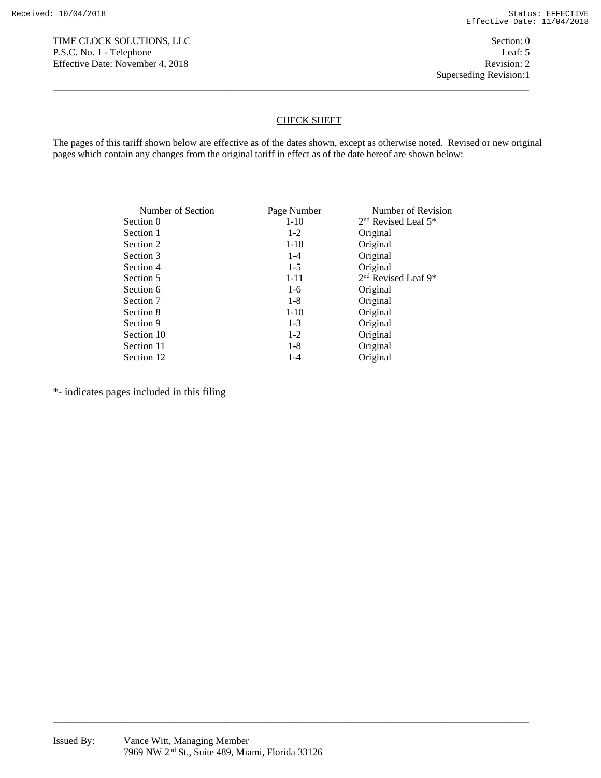### CHECK SHEET

The pages of this tariff shown below are effective as of the dates shown, except as otherwise noted. Revised or new original pages which contain any changes from the original tariff in effect as of the date hereof are shown below:

 $\overline{a_1}$  ,  $\overline{a_2}$  ,  $\overline{a_3}$  ,  $\overline{a_4}$  ,  $\overline{a_5}$  ,  $\overline{a_6}$  ,  $\overline{a_7}$  ,  $\overline{a_8}$  ,  $\overline{a_9}$  ,  $\overline{a_9}$  ,  $\overline{a_9}$  ,  $\overline{a_9}$  ,  $\overline{a_9}$  ,  $\overline{a_9}$  ,  $\overline{a_9}$  ,  $\overline{a_9}$  ,  $\overline{a_9}$  ,

| Number of Section | Page Number | Number of Revision                          |
|-------------------|-------------|---------------------------------------------|
| Section 0         | $1 - 10$    | 2 <sup>nd</sup> Revised Leaf 5 <sup>*</sup> |
| Section 1         | $1 - 2$     | Original                                    |
| Section 2         | $1 - 18$    | Original                                    |
| Section 3         | $1 - 4$     | Original                                    |
| Section 4         | $1-5$       | Original                                    |
| Section 5         | $1 - 11$    | 2 <sup>nd</sup> Revised Leaf 9*             |
| Section 6         | $1-6$       | Original                                    |
| Section 7         | $1 - 8$     | Original                                    |
| Section 8         | $1 - 10$    | Original                                    |
| Section 9         | $1-3$       | Original                                    |
| Section 10        | $1-2$       | Original                                    |
| Section 11        | $1 - 8$     | Original                                    |
| Section 12        | $1 - 4$     | Original                                    |

 $\overline{a_1}$  ,  $\overline{a_2}$  ,  $\overline{a_3}$  ,  $\overline{a_4}$  ,  $\overline{a_5}$  ,  $\overline{a_6}$  ,  $\overline{a_7}$  ,  $\overline{a_8}$  ,  $\overline{a_9}$  ,  $\overline{a_9}$  ,  $\overline{a_9}$  ,  $\overline{a_9}$  ,  $\overline{a_9}$  ,  $\overline{a_9}$  ,  $\overline{a_9}$  ,  $\overline{a_9}$  ,  $\overline{a_9}$  ,

\*- indicates pages included in this filing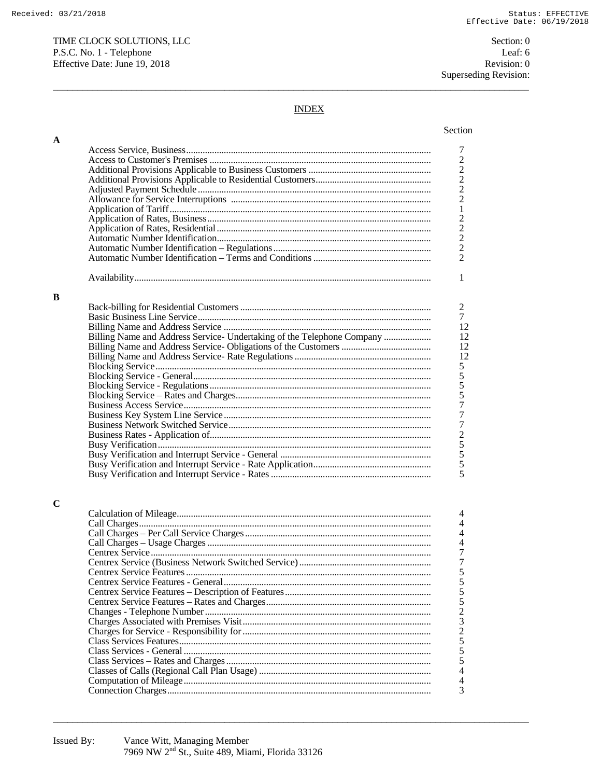$\mathbf A$ 

 $\bf{B}$ 

 $\mathbf C$ 

Section: 0 Leaf: 6 Revision: 0 Superseding Revision:

## **INDEX**

| Billing Name and Address Service- Undertaking of the Telephone Company |
|------------------------------------------------------------------------|
|                                                                        |
|                                                                        |
|                                                                        |
|                                                                        |
|                                                                        |
|                                                                        |
|                                                                        |
|                                                                        |
|                                                                        |
|                                                                        |
|                                                                        |
|                                                                        |
|                                                                        |
|                                                                        |
|                                                                        |
|                                                                        |
|                                                                        |
|                                                                        |
|                                                                        |
|                                                                        |
|                                                                        |
|                                                                        |
|                                                                        |
|                                                                        |
|                                                                        |
|                                                                        |
|                                                                        |
|                                                                        |
|                                                                        |
|                                                                        |
|                                                                        |
|                                                                        |
|                                                                        |
|                                                                        |
|                                                                        |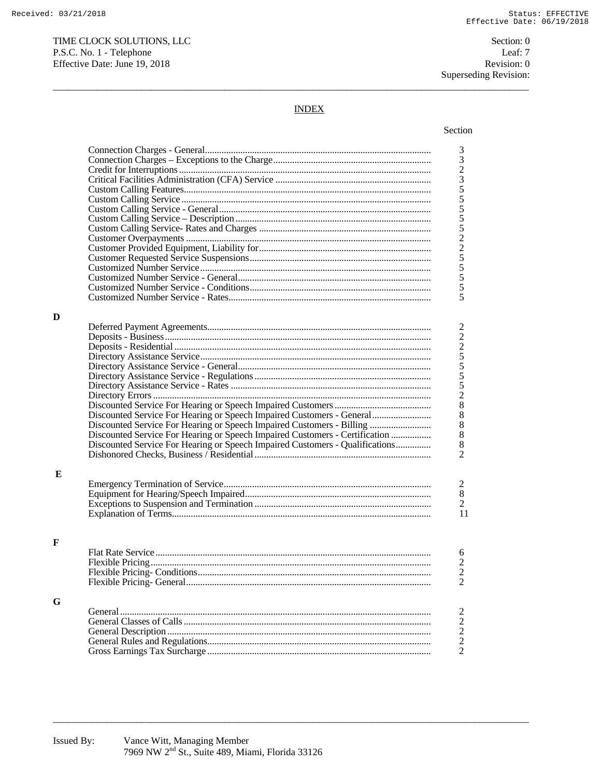Section: 0 Leaf: 7 Revision: 0 Superseding Revision:

# **INDEX**

|   |                                                                              | 332355555225555                            |
|---|------------------------------------------------------------------------------|--------------------------------------------|
|   |                                                                              |                                            |
|   |                                                                              |                                            |
|   |                                                                              |                                            |
|   |                                                                              |                                            |
|   |                                                                              |                                            |
|   |                                                                              |                                            |
|   |                                                                              |                                            |
|   |                                                                              |                                            |
|   |                                                                              |                                            |
|   |                                                                              |                                            |
|   |                                                                              |                                            |
|   |                                                                              |                                            |
|   |                                                                              |                                            |
|   |                                                                              | 5                                          |
|   |                                                                              |                                            |
| D |                                                                              |                                            |
|   |                                                                              |                                            |
|   |                                                                              |                                            |
|   |                                                                              |                                            |
|   |                                                                              |                                            |
|   |                                                                              |                                            |
|   |                                                                              | 22255528888                                |
|   |                                                                              |                                            |
|   |                                                                              |                                            |
|   |                                                                              |                                            |
|   | Discounted Service For Hearing or Speech Impaired Customers - General        |                                            |
|   | Discounted Service For Hearing or Speech Impaired Customers - Billing        |                                            |
|   | Discounted Service For Hearing or Speech Impaired Customers - Certification  |                                            |
|   | Discounted Service For Hearing or Speech Impaired Customers - Qualifications |                                            |
|   |                                                                              | $\overline{2}$                             |
|   |                                                                              |                                            |
| E |                                                                              |                                            |
|   |                                                                              |                                            |
|   |                                                                              | $\begin{smallmatrix}2\\8\end{smallmatrix}$ |
|   |                                                                              | $\overline{2}$                             |
|   |                                                                              | 11                                         |
|   |                                                                              |                                            |
|   |                                                                              |                                            |
| F |                                                                              |                                            |
|   |                                                                              | 6                                          |
|   |                                                                              |                                            |
|   |                                                                              | $\frac{2}{2}$                              |
|   |                                                                              |                                            |
|   |                                                                              |                                            |
| G |                                                                              |                                            |
|   |                                                                              | $\overline{c}$                             |
|   |                                                                              |                                            |
|   |                                                                              |                                            |
|   |                                                                              | $\begin{array}{c} 2 \\ 2 \\ 2 \end{array}$ |
|   |                                                                              |                                            |
|   |                                                                              |                                            |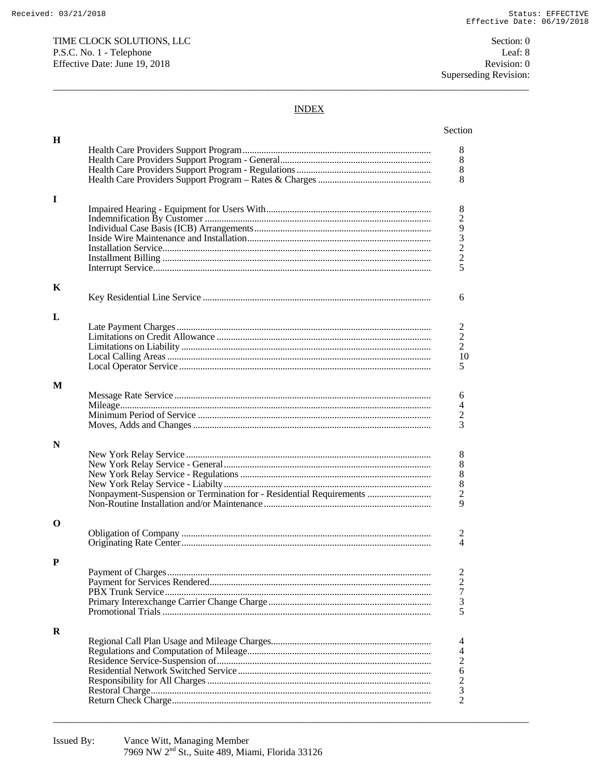Section: 0 Leaf: 8 Revision: 0 Superseding Revision:

## **INDEX**

| H |                                                                     |                                            |
|---|---------------------------------------------------------------------|--------------------------------------------|
|   |                                                                     | 8                                          |
|   |                                                                     | $8\,$                                      |
|   |                                                                     | $8\phantom{1}$                             |
|   |                                                                     | 8                                          |
|   |                                                                     |                                            |
| I |                                                                     |                                            |
|   |                                                                     | 8                                          |
|   |                                                                     | $\boldsymbol{2}$                           |
|   |                                                                     |                                            |
|   |                                                                     | $\begin{array}{c} 9 \\ 3 \\ 2 \end{array}$ |
|   |                                                                     |                                            |
|   |                                                                     |                                            |
|   |                                                                     | 5                                          |
|   |                                                                     |                                            |
| K |                                                                     |                                            |
|   |                                                                     | 6                                          |
|   |                                                                     |                                            |
| L |                                                                     |                                            |
|   |                                                                     | 2                                          |
|   |                                                                     | $\overline{2}$<br>$\overline{2}$           |
|   |                                                                     |                                            |
|   |                                                                     | 10                                         |
|   |                                                                     | 5                                          |
| M |                                                                     |                                            |
|   |                                                                     | 6                                          |
|   |                                                                     | 4                                          |
|   |                                                                     | $\overline{c}$                             |
|   |                                                                     | 3                                          |
|   |                                                                     |                                            |
| N |                                                                     |                                            |
|   |                                                                     | 8                                          |
|   |                                                                     | 8                                          |
|   |                                                                     | $\,$ $\,$                                  |
|   |                                                                     | $\,$ 8 $\,$                                |
|   | Nonpayment-Suspension or Termination for - Residential Requirements | $\sqrt{2}$                                 |
|   |                                                                     | 9                                          |
|   |                                                                     |                                            |
| O |                                                                     |                                            |
|   |                                                                     | 2<br>$\overline{4}$                        |
|   |                                                                     |                                            |
| P |                                                                     |                                            |
|   |                                                                     | 2                                          |
|   |                                                                     | 2                                          |
|   |                                                                     | $\tau$                                     |
|   |                                                                     | $\mathfrak{Z}$                             |
|   |                                                                     | 5                                          |
|   |                                                                     |                                            |
| R |                                                                     |                                            |
|   |                                                                     | 4                                          |
|   |                                                                     | 4                                          |
|   |                                                                     | $\overline{c}$                             |
|   |                                                                     | 6                                          |
|   |                                                                     | $\overline{\mathbf{c}}$                    |
|   |                                                                     | $\sqrt{3}$                                 |
|   |                                                                     | $\overline{2}$                             |
|   |                                                                     |                                            |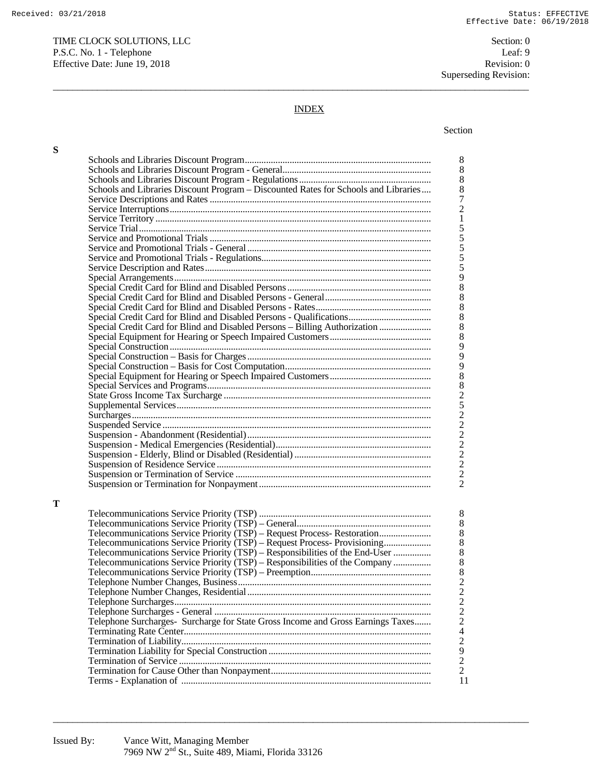TIME CLOCK SOLUTIONS, LLC Section: 0 P.S.C. No. 1 - Telephone Leaf: 9 Effective Date: June 19, 2018 Revision: 0

Superseding Revision:

# INDEX

 $\overline{a_1}$  ,  $\overline{a_2}$  ,  $\overline{a_3}$  ,  $\overline{a_4}$  ,  $\overline{a_5}$  ,  $\overline{a_6}$  ,  $\overline{a_7}$  ,  $\overline{a_8}$  ,  $\overline{a_9}$  ,  $\overline{a_9}$  ,  $\overline{a_9}$  ,  $\overline{a_9}$  ,  $\overline{a_9}$  ,  $\overline{a_9}$  ,  $\overline{a_9}$  ,  $\overline{a_9}$  ,  $\overline{a_9}$  ,

#### Section and the section of the section of the section of the section of the section of the section

**S** 

**T** 

| Schools and Libraries Discount Program - Discounted Rates for Schools and Libraries |
|-------------------------------------------------------------------------------------|
|                                                                                     |
|                                                                                     |
|                                                                                     |
|                                                                                     |
|                                                                                     |
|                                                                                     |
|                                                                                     |
|                                                                                     |
|                                                                                     |
|                                                                                     |
|                                                                                     |
|                                                                                     |
|                                                                                     |
|                                                                                     |
| Special Credit Card for Blind and Disabled Persons - Billing Authorization          |
|                                                                                     |
|                                                                                     |
|                                                                                     |
|                                                                                     |
|                                                                                     |
|                                                                                     |
|                                                                                     |
|                                                                                     |
|                                                                                     |
|                                                                                     |
|                                                                                     |
|                                                                                     |
|                                                                                     |
|                                                                                     |
|                                                                                     |
|                                                                                     |
|                                                                                     |
|                                                                                     |
|                                                                                     |
|                                                                                     |
| Telecommunications Service Priority (TSP) - Request Process- Restoration            |
| Telecommunications Service Priority (TSP) - Request Process- Provisioning           |
| Telecommunications Service Priority (TSP) - Responsibilities of the End-User        |
| Telecommunications Service Priority (TSP) – Responsibilities of the Company         |
|                                                                                     |
|                                                                                     |
|                                                                                     |
|                                                                                     |
|                                                                                     |
| Telephone Surcharges- Surcharge for State Gross Income and Gross Earnings Taxes     |
|                                                                                     |
|                                                                                     |
|                                                                                     |
|                                                                                     |
|                                                                                     |
|                                                                                     |
|                                                                                     |